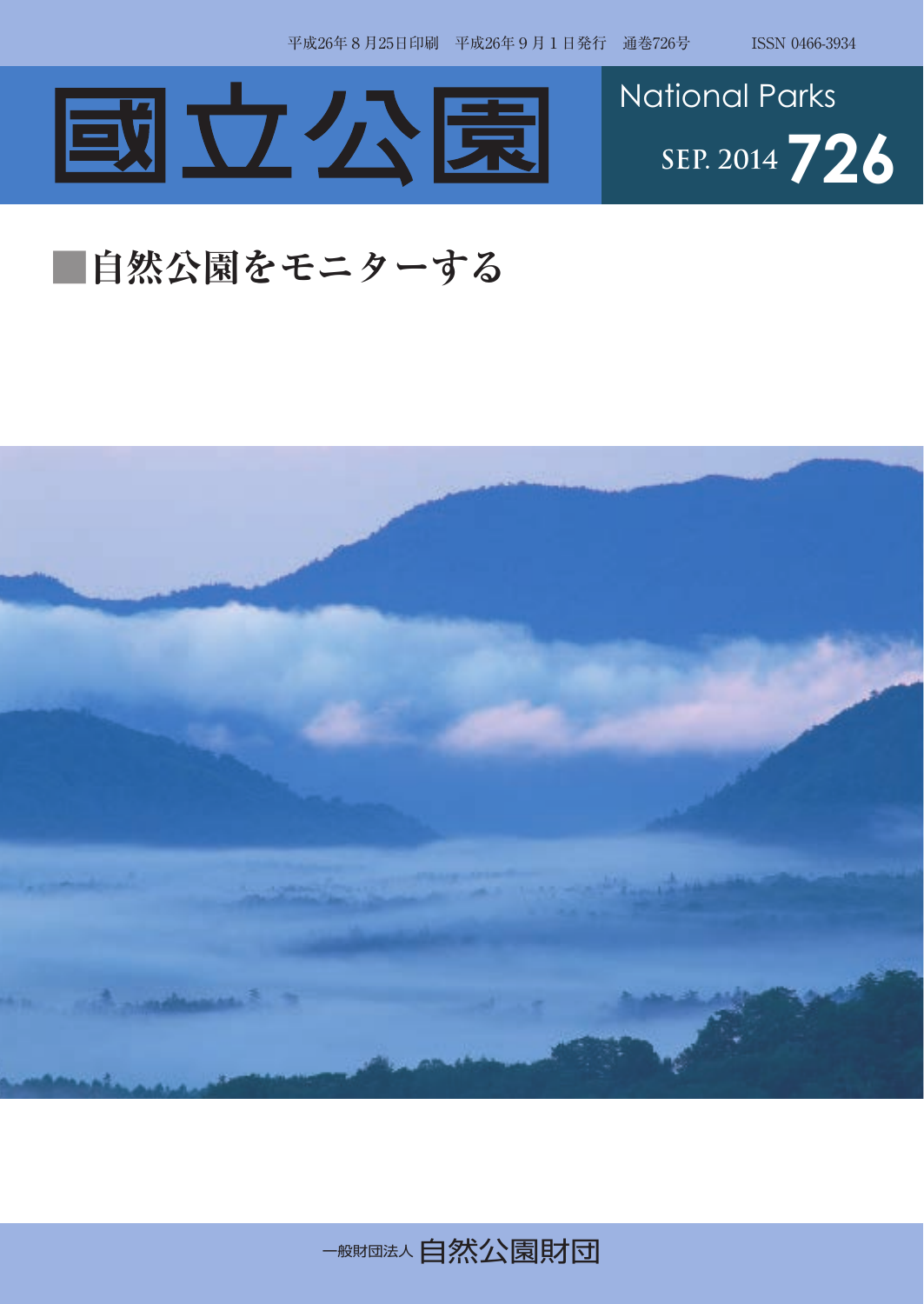



## **■自然公園をモニターする**